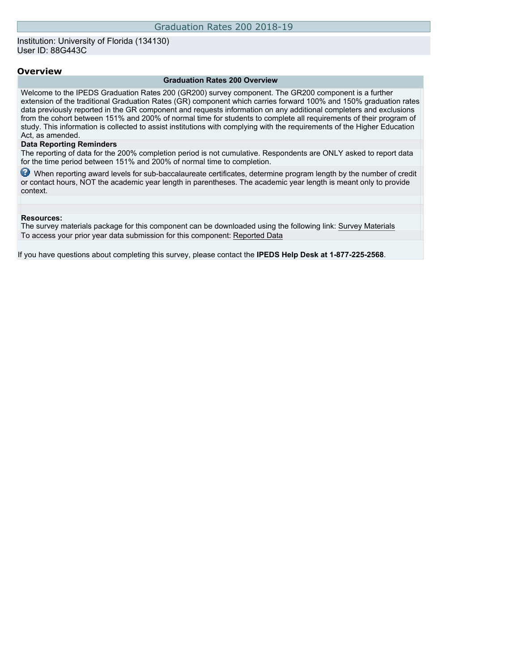## Institution: University of Florida (134130) User ID: 88G443C

#### **Overview**

#### **Graduation Rates 200 Overview**

Welcome to the IPEDS Graduation Rates 200 (GR200) survey component. The GR200 component is a further extension of the traditional Graduation Rates (GR) component which carries forward 100% and 150% graduation rates data previously reported in the GR component and requests information on any additional completers and exclusions from the cohort between 151% and 200% of normal time for students to complete all requirements of their program of study. This information is collected to assist institutions with complying with the requirements of the Higher Education Act, as amended.

### **Data Reporting Reminders**

The reporting of data for the 200% completion period is not cumulative. Respondents are ONLY asked to report data for the time period between 151% and 200% of normal time to completion.

When reporting award levels for sub-baccalaureate certificates, determine program length by the number of credit or contact hours, NOT the academic year length in parentheses. The academic year length is meant only to provide context.

#### **Resources:**

The survey materials package for this component can be downloaded using the following link: [Survey Materials](https://surveys.nces.ed.gov/ipeds/VisIndex.aspx) To access your prior year data submission for this component: [Reported Data](http://192.168.102.153/ipeds/PriorYearDataRedirect.aspx?survey_id=2)

If you have questions about completing this survey, please contact the **IPEDS Help Desk at 1-877-225-2568**.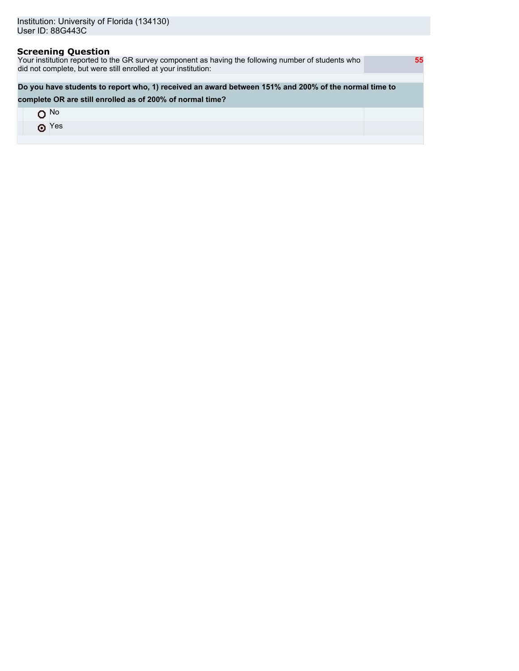# **Screening Question**

Your institution reported to the GR survey component as having the following number of students who did not complete, but were still enrolled at your institution:

# **Do you have students to report who, 1) received an award between 151% and 200% of the normal time to**

## **complete OR are still enrolled as of 200% of normal time?**

| $\Lambda$ No |  |
|--------------|--|
| $\odot$ Yes  |  |
|              |  |

 **55**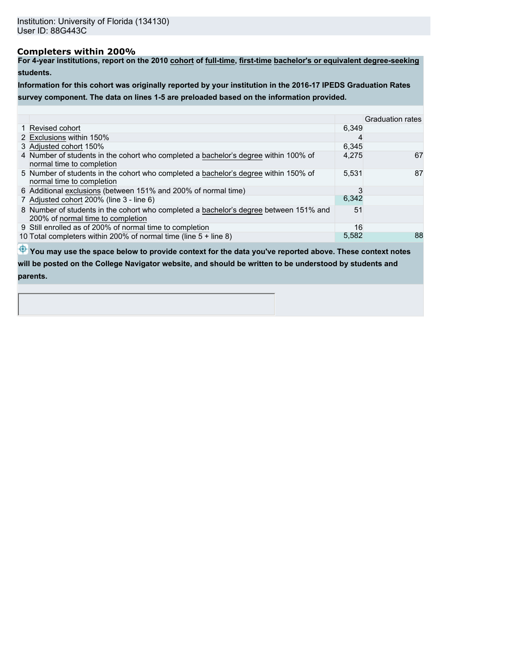# **Completers within 200%**

**For 4-year institutions, report on the 2010 cohort of full-time, first-time bachelor's or equivalent degree-seeking students.**

**Information for this cohort was originally reported by your institution in the 2016-17 IPEDS Graduation Rates survey component. The data on lines 1-5 are preloaded based on the information provided.**

|                                                                                                                            |       | <b>Graduation rates</b> |
|----------------------------------------------------------------------------------------------------------------------------|-------|-------------------------|
| 1 Revised cohort                                                                                                           | 6.349 |                         |
| 2 Exclusions within 150%                                                                                                   | 4     |                         |
| 3 Adjusted cohort 150%                                                                                                     | 6,345 |                         |
| 4 Number of students in the cohort who completed a bachelor's degree within 100% of<br>hormal time to completion           | 4,275 | 67                      |
| 5 Number of students in the cohort who completed a bachelor's degree within 150% of<br>normal time to completion           | 5,531 | 87                      |
| 6 Additional exclusions (between 151% and 200% of normal time)                                                             | 3     |                         |
| 7 Adjusted cohort 200% (line 3 - line 6)                                                                                   | 6,342 |                         |
| 8 Number of students in the cohort who completed a bachelor's degree between 151% and<br>200% of normal time to completion | 51    |                         |
| 9 Still enrolled as of 200% of normal time to completion                                                                   | 16    |                         |
| 10 Total completers within 200% of normal time (line 5 + line 8)                                                           | 5,582 | 88                      |

 $\bigoplus$  **You may use the space below to provide context for the data you've reported above. These context notes** 

**will be posted on the College Navigator website, and should be written to be understood by students and parents.**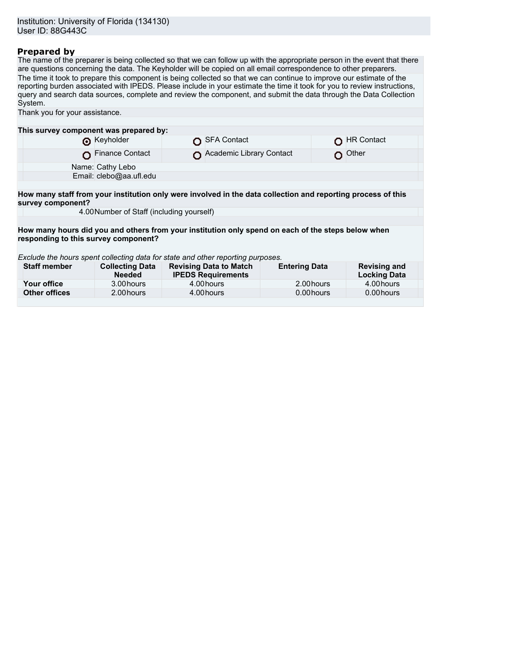# **Prepared by**

The name of the preparer is being collected so that we can follow up with the appropriate person in the event that there are questions concerning the data. The Keyholder will be copied on all email correspondence to other preparers. The time it took to prepare this component is being collected so that we can continue to improve our estimate of the reporting burden associated with IPEDS. Please include in your estimate the time it took for you to review instructions, query and search data sources, complete and review the component, and submit the data through the Data Collection System.

| Thank you for your assistance.                                                                                                    |                                         |  |                                                            |                      |            |                                            |  |  |  |  |
|-----------------------------------------------------------------------------------------------------------------------------------|-----------------------------------------|--|------------------------------------------------------------|----------------------|------------|--------------------------------------------|--|--|--|--|
|                                                                                                                                   |                                         |  |                                                            |                      |            |                                            |  |  |  |  |
| This survey component was prepared by:                                                                                            |                                         |  |                                                            |                      |            |                                            |  |  |  |  |
|                                                                                                                                   | Reyholder                               |  | <b>SFA Contact</b>                                         |                      |            | <b>HR Contact</b>                          |  |  |  |  |
|                                                                                                                                   | Finance Contact                         |  | Academic Library Contact                                   |                      |            | Other                                      |  |  |  |  |
|                                                                                                                                   | Name: Cathy Lebo                        |  |                                                            |                      |            |                                            |  |  |  |  |
|                                                                                                                                   | Email: clebo@aa.ufl.edu                 |  |                                                            |                      |            |                                            |  |  |  |  |
|                                                                                                                                   |                                         |  |                                                            |                      |            |                                            |  |  |  |  |
| How many staff from your institution only were involved in the data collection and reporting process of this<br>survey component? |                                         |  |                                                            |                      |            |                                            |  |  |  |  |
| 4.00 Number of Staff (including yourself)                                                                                         |                                         |  |                                                            |                      |            |                                            |  |  |  |  |
|                                                                                                                                   |                                         |  |                                                            |                      |            |                                            |  |  |  |  |
| How many hours did you and others from your institution only spend on each of the steps below when                                |                                         |  |                                                            |                      |            |                                            |  |  |  |  |
| responding to this survey component?                                                                                              |                                         |  |                                                            |                      |            |                                            |  |  |  |  |
|                                                                                                                                   |                                         |  |                                                            |                      |            |                                            |  |  |  |  |
| Exclude the hours spent collecting data for state and other reporting purposes.                                                   |                                         |  |                                                            |                      |            |                                            |  |  |  |  |
| <b>Staff member</b>                                                                                                               | <b>Collecting Data</b><br><b>Needed</b> |  | <b>Revising Data to Match</b><br><b>IPEDS Requirements</b> | <b>Entering Data</b> |            | <b>Revising and</b><br><b>Locking Data</b> |  |  |  |  |
| Your office                                                                                                                       | 3.00 hours                              |  | 4.00 hours                                                 |                      | 2.00 hours | 4.00 hours                                 |  |  |  |  |
| <b>Other offices</b>                                                                                                              | 2.00 hours                              |  | 4.00 hours                                                 | 0.00 hours           |            | 0.00 hours                                 |  |  |  |  |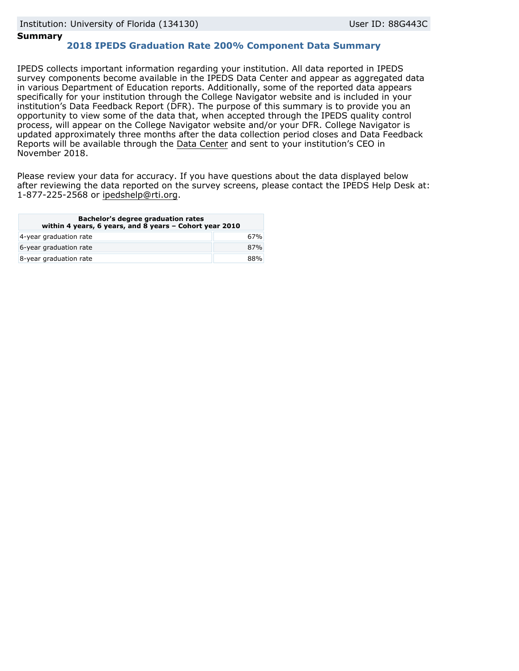# **Summary**

# **2018 IPEDS Graduation Rate 200% Component Data Summary**

IPEDS collects important information regarding your institution. All data reported in IPEDS survey components become available in the IPEDS Data Center and appear as aggregated data in various Department of Education reports. Additionally, some of the reported data appears specifically for your institution through the College Navigator website and is included in your institution's Data Feedback Report (DFR). The purpose of this summary is to provide you an opportunity to view some of the data that, when accepted through the IPEDS quality control process, will appear on the College Navigator website and/or your DFR. College Navigator is updated approximately three months after the data collection period closes and Data Feedback Reports will be available through the [Data Center](https://nces.ed.gov/ipeds/use-the-data) and sent to your institution's CEO in November 2018.

Please review your data for accuracy. If you have questions about the data displayed below after reviewing the data reported on the survey screens, please contact the IPEDS Help Desk at: 1-877-225-2568 or ipedshelp@rti.org.

| Bachelor's degree graduation rates<br>within 4 years, 6 years, and 8 years - Cohort year 2010 |     |  |  |
|-----------------------------------------------------------------------------------------------|-----|--|--|
| 4-year graduation rate                                                                        | 67% |  |  |
| 6-year graduation rate                                                                        | 87% |  |  |
| 8-year graduation rate                                                                        | 88% |  |  |